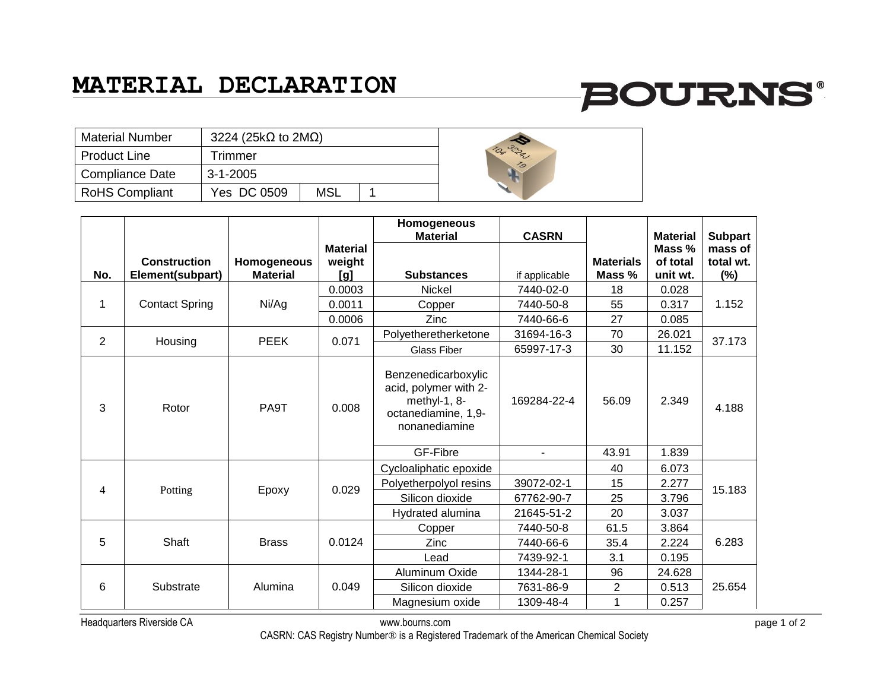### **MATERIAL DECLARATION**

# **BOURNS®**

| <b>Material Number</b> | 3224 (25k $\Omega$ to 2M $\Omega$ ) |     |  |  |
|------------------------|-------------------------------------|-----|--|--|
| <b>Product Line</b>    | Trimmer                             |     |  |  |
| <b>Compliance Date</b> | $3 - 1 - 2005$                      |     |  |  |
| <b>RoHS Compliant</b>  | Yes DC 0509                         | MSL |  |  |



|                |                       |                 |                 | Homogeneous<br><b>Material</b>                                                                       |                |                  |                           |                           |
|----------------|-----------------------|-----------------|-----------------|------------------------------------------------------------------------------------------------------|----------------|------------------|---------------------------|---------------------------|
|                |                       |                 | <b>Material</b> |                                                                                                      | <b>CASRN</b>   |                  | <b>Material</b><br>Mass % | <b>Subpart</b><br>mass of |
|                | <b>Construction</b>   | Homogeneous     | weight          |                                                                                                      |                | <b>Materials</b> | of total                  | total wt.                 |
| No.            | Element(subpart)      | <b>Material</b> | [g]             | <b>Substances</b>                                                                                    | if applicable  | Mass %           | unit wt.                  | (%)                       |
|                |                       |                 | 0.0003          | Nickel                                                                                               | 7440-02-0      | 18               | 0.028                     |                           |
| 1              | <b>Contact Spring</b> | Ni/Ag           | 0.0011          | Copper                                                                                               | 7440-50-8      | 55               | 0.317                     | 1.152                     |
|                |                       |                 | 0.0006          | Zinc                                                                                                 | 7440-66-6      | 27               | 0.085                     |                           |
| $\overline{2}$ | Housing               | <b>PEEK</b>     | 0.071           | Polyetheretherketone                                                                                 | 31694-16-3     | 70               | 26.021                    | 37.173                    |
|                |                       |                 |                 | Glass Fiber                                                                                          | 65997-17-3     | 30               | 11.152                    |                           |
| 3              | Rotor                 | PA9T            | 0.008           | Benzenedicarboxylic<br>acid, polymer with 2-<br>methyl-1, 8-<br>octanediamine, 1,9-<br>nonanediamine | 169284-22-4    | 56.09            | 2.349                     | 4.188                     |
|                |                       |                 |                 | GF-Fibre                                                                                             | $\blacksquare$ | 43.91            | 1.839                     |                           |
|                |                       |                 |                 | Cycloaliphatic epoxide                                                                               |                | 40               | 6.073                     |                           |
| $\overline{4}$ | Potting               | Epoxy           | 0.029           | Polyetherpolyol resins                                                                               | 39072-02-1     | 15               | 2.277                     | 15.183                    |
|                |                       |                 |                 | Silicon dioxide                                                                                      | 67762-90-7     | 25               | 3.796                     |                           |
|                |                       |                 |                 | Hydrated alumina                                                                                     | 21645-51-2     | 20               | 3.037                     |                           |
|                |                       |                 |                 | Copper                                                                                               | 7440-50-8      | 61.5             | 3.864                     |                           |
| 5              | Shaft                 | <b>Brass</b>    | 0.0124          | Zinc                                                                                                 | 7440-66-6      | 35.4             | 2.224                     | 6.283                     |
|                |                       |                 |                 | Lead                                                                                                 | 7439-92-1      | 3.1              | 0.195                     |                           |
|                |                       |                 |                 | Aluminum Oxide                                                                                       | 1344-28-1      | 96               | 24.628                    |                           |
| 6              | Substrate             | Alumina         | 0.049           | Silicon dioxide                                                                                      | 7631-86-9      | $\overline{2}$   | 0.513                     | 25.654                    |
|                |                       |                 |                 | Magnesium oxide                                                                                      | 1309-48-4      |                  | 0.257                     |                           |

Headquarters Riverside CA www.bourns.com page 1 of 2

CASRN: CAS Registry Number® is a Registered Trademark of the American Chemical Society